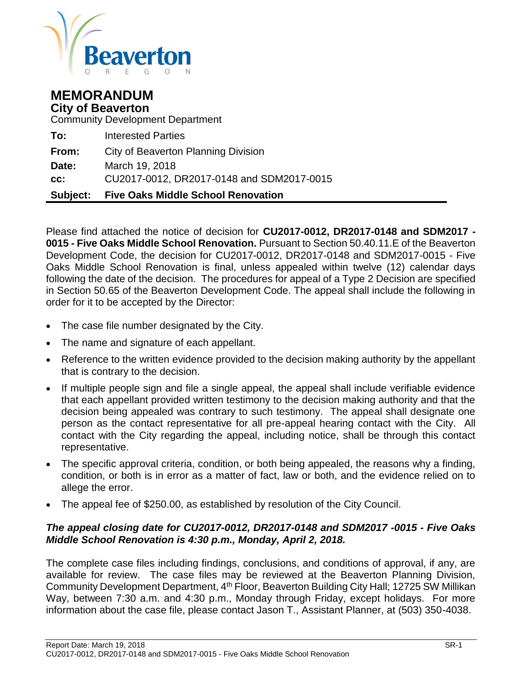

# **MEMORANDUM City of Beaverton**

Community Development Department

|       | <b>Subject:</b> Five Oaks Middle School Renovation |
|-------|----------------------------------------------------|
| cc:   | CU2017-0012, DR2017-0148 and SDM2017-0015          |
| Date: | March 19, 2018                                     |
| From: | City of Beaverton Planning Division                |
| To:   | <b>Interested Parties</b>                          |

Please find attached the notice of decision for **CU2017-0012, DR2017-0148 and SDM2017 - 0015 - Five Oaks Middle School Renovation.** Pursuant to Section 50.40.11.E of the Beaverton Development Code, the decision for CU2017-0012, DR2017-0148 and SDM2017-0015 - Five Oaks Middle School Renovation is final, unless appealed within twelve (12) calendar days following the date of the decision. The procedures for appeal of a Type 2 Decision are specified in Section 50.65 of the Beaverton Development Code. The appeal shall include the following in order for it to be accepted by the Director:

- The case file number designated by the City.
- The name and signature of each appellant.
- Reference to the written evidence provided to the decision making authority by the appellant that is contrary to the decision.
- If multiple people sign and file a single appeal, the appeal shall include verifiable evidence that each appellant provided written testimony to the decision making authority and that the decision being appealed was contrary to such testimony. The appeal shall designate one person as the contact representative for all pre-appeal hearing contact with the City. All contact with the City regarding the appeal, including notice, shall be through this contact representative.
- The specific approval criteria, condition, or both being appealed, the reasons why a finding, condition, or both is in error as a matter of fact, law or both, and the evidence relied on to allege the error.
- The appeal fee of \$250.00, as established by resolution of the City Council.

# *The appeal closing date for CU2017-0012, DR2017-0148 and SDM2017 -0015 - Five Oaks Middle School Renovation is 4:30 p.m., Monday, April 2, 2018.*

The complete case files including findings, conclusions, and conditions of approval, if any, are available for review. The case files may be reviewed at the Beaverton Planning Division, Community Development Department, 4th Floor, Beaverton Building City Hall; 12725 SW Millikan Way, between 7:30 a.m. and 4:30 p.m., Monday through Friday, except holidays. For more information about the case file, please contact Jason T., Assistant Planner, at (503) 350-4038.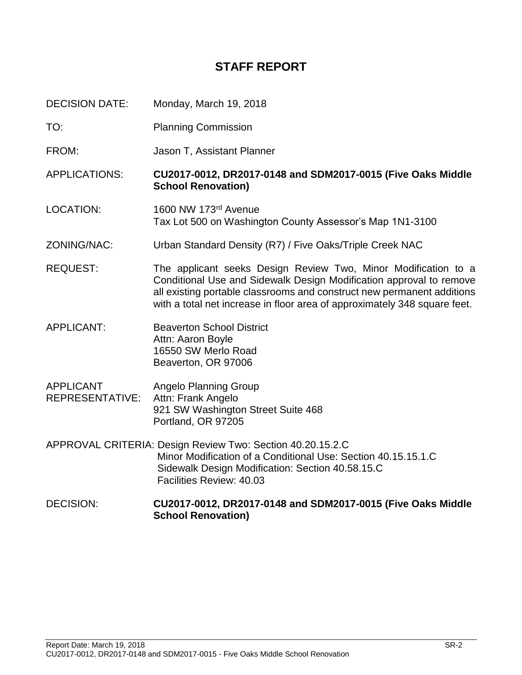# **STAFF REPORT**

DECISION DATE: Monday, March 19, 2018

- TO: Planning Commission
- FROM: Jason T, Assistant Planner

APPLICATIONS: **CU2017-0012, DR2017-0148 and SDM2017-0015 (Five Oaks Middle School Renovation)**

- LOCATION: 1600 NW 173rd Avenue Tax Lot 500 on Washington County Assessor's Map 1N1-3100
- ZONING/NAC: Urban Standard Density (R7) / Five Oaks/Triple Creek NAC
- REQUEST: The applicant seeks Design Review Two, Minor Modification to a Conditional Use and Sidewalk Design Modification approval to remove all existing portable classrooms and construct new permanent additions with a total net increase in floor area of approximately 348 square feet.
- APPLICANT: Beaverton School District Attn: Aaron Boyle 16550 SW Merlo Road Beaverton, OR 97006
- APPLICANT Angelo Planning Group REPRESENTATIVE: Attn: Frank Angelo 921 SW Washington Street Suite 468 Portland, OR 97205
- APPROVAL CRITERIA: Design Review Two: Section 40.20.15.2.C Minor Modification of a Conditional Use: Section 40.15.15.1.C Sidewalk Design Modification: Section 40.58.15.C Facilities Review: 40.03
- DECISION: **CU2017-0012, DR2017-0148 and SDM2017-0015 (Five Oaks Middle School Renovation)**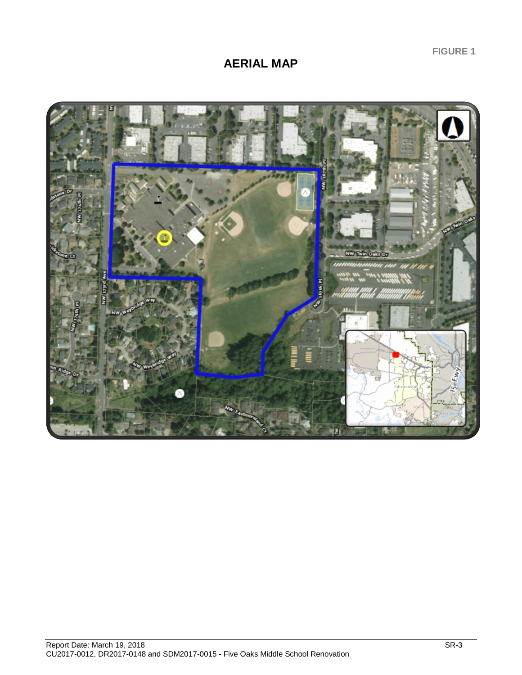**FIGURE 1**

# **AERIAL MAP**

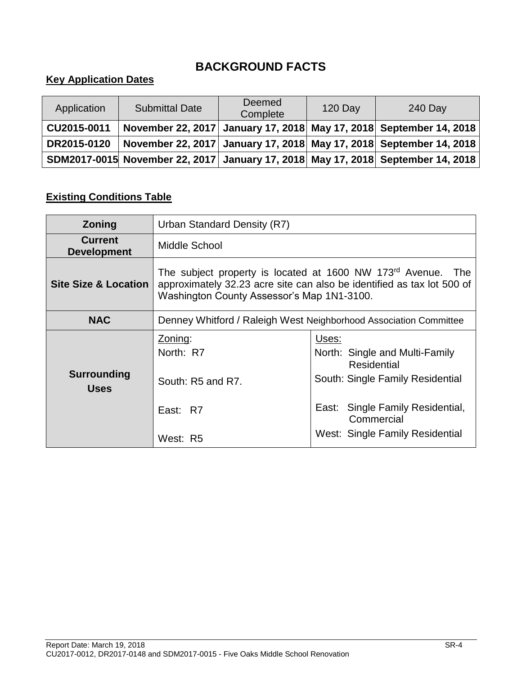# **BACKGROUND FACTS**

# **Key Application Dates**

| Application | <b>Submittal Date</b> | <b>Deemed</b><br>Complete | <b>120 Day</b> | 240 Day                                                                         |
|-------------|-----------------------|---------------------------|----------------|---------------------------------------------------------------------------------|
| CU2015-0011 |                       |                           |                | November 22, 2017 January 17, 2018 May 17, 2018 September 14, 2018              |
| DR2015-0120 |                       |                           |                | November 22, 2017  January 17, 2018  May 17, 2018  September 14, 2018           |
|             |                       |                           |                | SDM2017-0015 November 22, 2017 January 17, 2018 May 17, 2018 September 14, 2018 |

# **Existing Conditions Table**

| <b>Zoning</b>                        | Urban Standard Density (R7)                                                                                                                                                                      |                                                                                            |  |
|--------------------------------------|--------------------------------------------------------------------------------------------------------------------------------------------------------------------------------------------------|--------------------------------------------------------------------------------------------|--|
| <b>Current</b><br><b>Development</b> | Middle School                                                                                                                                                                                    |                                                                                            |  |
| <b>Site Size &amp; Location</b>      | The subject property is located at 1600 NW 173 <sup>rd</sup> Avenue. The<br>approximately 32.23 acre site can also be identified as tax lot 500 of<br>Washington County Assessor's Map 1N1-3100. |                                                                                            |  |
| <b>NAC</b>                           | Denney Whitford / Raleigh West Neighborhood Association Committee                                                                                                                                |                                                                                            |  |
| <b>Surrounding</b><br><b>Uses</b>    | Zoning:<br>North: R7<br>South: R5 and R7.                                                                                                                                                        | Uses:<br>North: Single and Multi-Family<br>Residential<br>South: Single Family Residential |  |
|                                      | East: R7                                                                                                                                                                                         | East: Single Family Residential,<br>Commercial                                             |  |
|                                      | West: R5                                                                                                                                                                                         | West: Single Family Residential                                                            |  |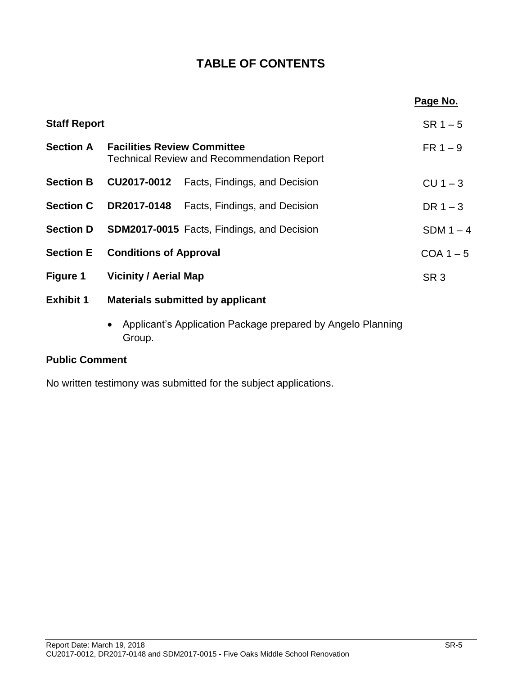# **TABLE OF CONTENTS**

|                               |  | Page No.                                                                                                                                                                                                                                                                                        |
|-------------------------------|--|-------------------------------------------------------------------------------------------------------------------------------------------------------------------------------------------------------------------------------------------------------------------------------------------------|
| <b>Staff Report</b>           |  |                                                                                                                                                                                                                                                                                                 |
|                               |  | $FR 1 - 9$                                                                                                                                                                                                                                                                                      |
|                               |  | $CU 1 - 3$                                                                                                                                                                                                                                                                                      |
|                               |  | DR $1-3$                                                                                                                                                                                                                                                                                        |
|                               |  | SDM $1-4$                                                                                                                                                                                                                                                                                       |
| <b>Conditions of Approval</b> |  | $COA 1 - 5$                                                                                                                                                                                                                                                                                     |
| <b>Vicinity / Aerial Map</b>  |  | SR <sub>3</sub>                                                                                                                                                                                                                                                                                 |
|                               |  |                                                                                                                                                                                                                                                                                                 |
|                               |  | <b>Facilities Review Committee</b><br><b>Technical Review and Recommendation Report</b><br><b>CU2017-0012</b> Facts, Findings, and Decision<br><b>DR2017-0148</b> Facts, Findings, and Decision<br><b>SDM2017-0015</b> Facts, Findings, and Decision<br><b>Materials submitted by applicant</b> |

 Applicant's Application Package prepared by Angelo Planning Group.

# **Public Comment**

No written testimony was submitted for the subject applications.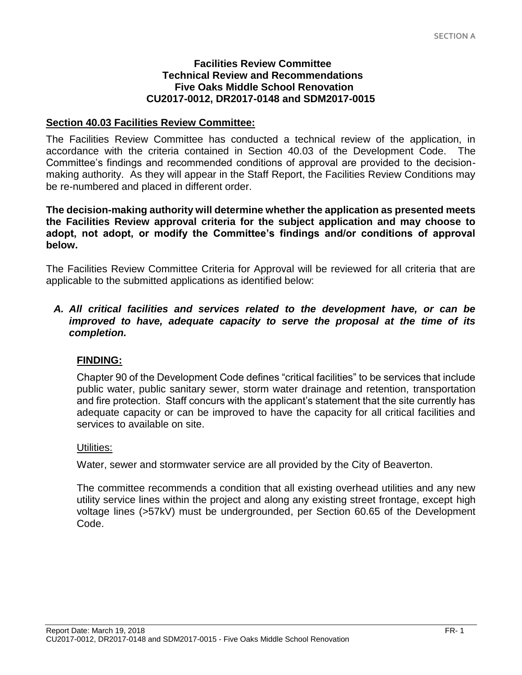#### **Facilities Review Committee Technical Review and Recommendations Five Oaks Middle School Renovation CU2017-0012, DR2017-0148 and SDM2017-0015**

# **Section 40.03 Facilities Review Committee:**

The Facilities Review Committee has conducted a technical review of the application, in accordance with the criteria contained in Section 40.03 of the Development Code. The Committee's findings and recommended conditions of approval are provided to the decisionmaking authority. As they will appear in the Staff Report, the Facilities Review Conditions may be re-numbered and placed in different order.

**The decision-making authority will determine whether the application as presented meets the Facilities Review approval criteria for the subject application and may choose to adopt, not adopt, or modify the Committee's findings and/or conditions of approval below.**

The Facilities Review Committee Criteria for Approval will be reviewed for all criteria that are applicable to the submitted applications as identified below:

*A. All critical facilities and services related to the development have, or can be improved to have, adequate capacity to serve the proposal at the time of its completion.* 

## **FINDING:**

Chapter 90 of the Development Code defines "critical facilities" to be services that include public water, public sanitary sewer, storm water drainage and retention, transportation and fire protection. Staff concurs with the applicant's statement that the site currently has adequate capacity or can be improved to have the capacity for all critical facilities and services to available on site.

## Utilities:

Water, sewer and stormwater service are all provided by the City of Beaverton.

The committee recommends a condition that all existing overhead utilities and any new utility service lines within the project and along any existing street frontage, except high voltage lines (>57kV) must be undergrounded, per Section 60.65 of the Development Code.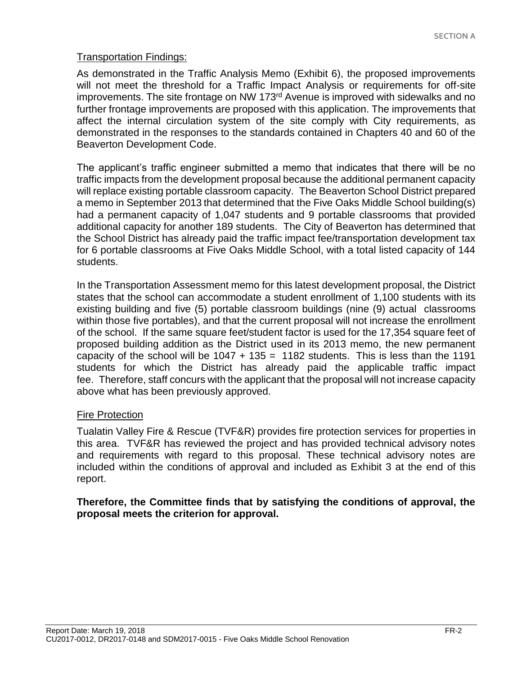# Transportation Findings:

As demonstrated in the Traffic Analysis Memo (Exhibit 6), the proposed improvements will not meet the threshold for a Traffic Impact Analysis or requirements for off-site improvements. The site frontage on NW 173<sup>rd</sup> Avenue is improved with sidewalks and no further frontage improvements are proposed with this application. The improvements that affect the internal circulation system of the site comply with City requirements, as demonstrated in the responses to the standards contained in Chapters 40 and 60 of the Beaverton Development Code.

The applicant's traffic engineer submitted a memo that indicates that there will be no traffic impacts from the development proposal because the additional permanent capacity will replace existing portable classroom capacity. The Beaverton School District prepared a memo in September 2013 that determined that the Five Oaks Middle School building(s) had a permanent capacity of 1,047 students and 9 portable classrooms that provided additional capacity for another 189 students. The City of Beaverton has determined that the School District has already paid the traffic impact fee/transportation development tax for 6 portable classrooms at Five Oaks Middle School, with a total listed capacity of 144 students.

In the Transportation Assessment memo for this latest development proposal, the District states that the school can accommodate a student enrollment of 1,100 students with its existing building and five (5) portable classroom buildings (nine (9) actual classrooms within those five portables), and that the current proposal will not increase the enrollment of the school. If the same square feet/student factor is used for the 17,354 square feet of proposed building addition as the District used in its 2013 memo, the new permanent capacity of the school will be  $1047 + 135 = 1182$  students. This is less than the 1191 students for which the District has already paid the applicable traffic impact fee. Therefore, staff concurs with the applicant that the proposal will not increase capacity above what has been previously approved.

# Fire Protection

Tualatin Valley Fire & Rescue (TVF&R) provides fire protection services for properties in this area. TVF&R has reviewed the project and has provided technical advisory notes and requirements with regard to this proposal. These technical advisory notes are included within the conditions of approval and included as Exhibit 3 at the end of this report.

# **Therefore, the Committee finds that by satisfying the conditions of approval, the proposal meets the criterion for approval.**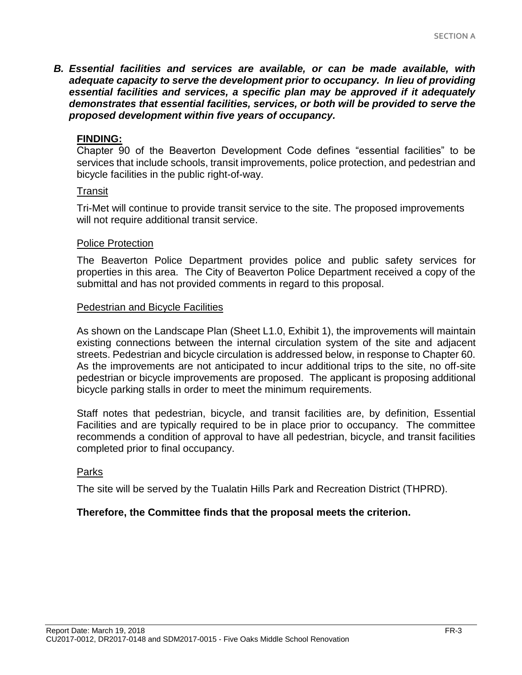*B. Essential facilities and services are available, or can be made available, with adequate capacity to serve the development prior to occupancy. In lieu of providing essential facilities and services, a specific plan may be approved if it adequately demonstrates that essential facilities, services, or both will be provided to serve the proposed development within five years of occupancy.*

#### **FINDING:**

Chapter 90 of the Beaverton Development Code defines "essential facilities" to be services that include schools, transit improvements, police protection, and pedestrian and bicycle facilities in the public right-of-way.

#### Transit

Tri-Met will continue to provide transit service to the site. The proposed improvements will not require additional transit service.

#### Police Protection

The Beaverton Police Department provides police and public safety services for properties in this area. The City of Beaverton Police Department received a copy of the submittal and has not provided comments in regard to this proposal.

#### Pedestrian and Bicycle Facilities

As shown on the Landscape Plan (Sheet L1.0, Exhibit 1), the improvements will maintain existing connections between the internal circulation system of the site and adjacent streets. Pedestrian and bicycle circulation is addressed below, in response to Chapter 60. As the improvements are not anticipated to incur additional trips to the site, no off-site pedestrian or bicycle improvements are proposed. The applicant is proposing additional bicycle parking stalls in order to meet the minimum requirements.

Staff notes that pedestrian, bicycle, and transit facilities are, by definition, Essential Facilities and are typically required to be in place prior to occupancy. The committee recommends a condition of approval to have all pedestrian, bicycle, and transit facilities completed prior to final occupancy.

#### Parks

The site will be served by the Tualatin Hills Park and Recreation District (THPRD).

#### **Therefore, the Committee finds that the proposal meets the criterion.**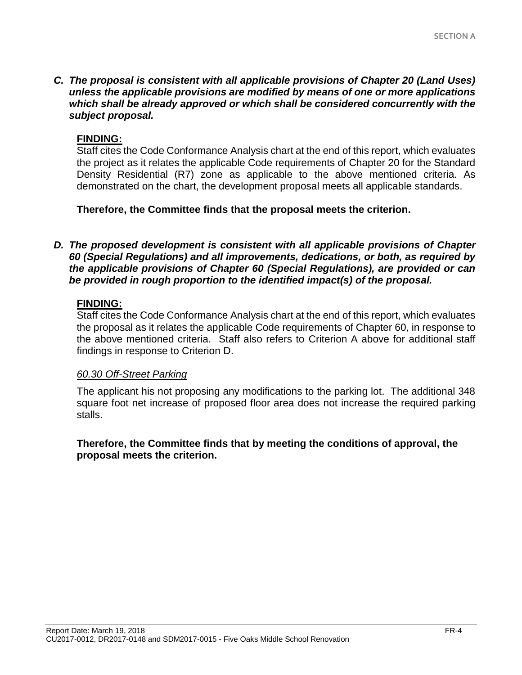*C. The proposal is consistent with all applicable provisions of Chapter 20 (Land Uses) unless the applicable provisions are modified by means of one or more applications which shall be already approved or which shall be considered concurrently with the subject proposal.* 

## **FINDING:**

Staff cites the Code Conformance Analysis chart at the end of this report, which evaluates the project as it relates the applicable Code requirements of Chapter 20 for the Standard Density Residential (R7) zone as applicable to the above mentioned criteria. As demonstrated on the chart, the development proposal meets all applicable standards.

**Therefore, the Committee finds that the proposal meets the criterion.** 

*D. The proposed development is consistent with all applicable provisions of Chapter 60 (Special Regulations) and all improvements, dedications, or both, as required by the applicable provisions of Chapter 60 (Special Regulations), are provided or can be provided in rough proportion to the identified impact(s) of the proposal.*

# **FINDING:**

Staff cites the Code Conformance Analysis chart at the end of this report, which evaluates the proposal as it relates the applicable Code requirements of Chapter 60, in response to the above mentioned criteria. Staff also refers to Criterion A above for additional staff findings in response to Criterion D.

## *60.30 Off-Street Parking*

The applicant his not proposing any modifications to the parking lot. The additional 348 square foot net increase of proposed floor area does not increase the required parking stalls.

# **Therefore, the Committee finds that by meeting the conditions of approval, the proposal meets the criterion.**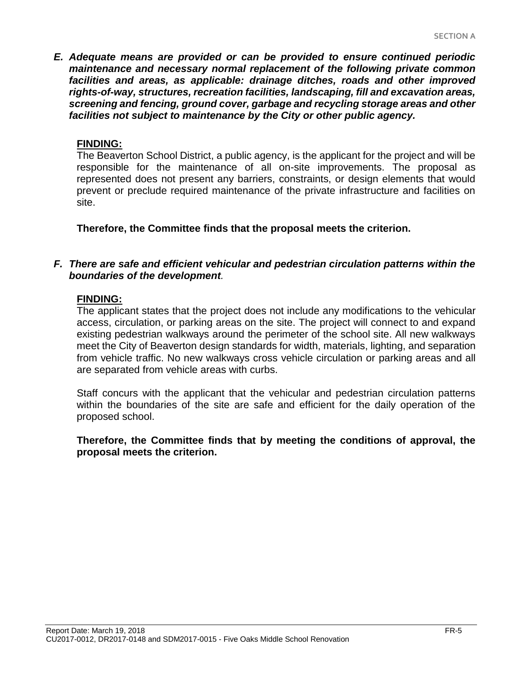*E. Adequate means are provided or can be provided to ensure continued periodic maintenance and necessary normal replacement of the following private common facilities and areas, as applicable: drainage ditches, roads and other improved rights-of-way, structures, recreation facilities, landscaping, fill and excavation areas, screening and fencing, ground cover, garbage and recycling storage areas and other facilities not subject to maintenance by the City or other public agency.*

## **FINDING:**

The Beaverton School District, a public agency, is the applicant for the project and will be responsible for the maintenance of all on-site improvements. The proposal as represented does not present any barriers, constraints, or design elements that would prevent or preclude required maintenance of the private infrastructure and facilities on site.

**Therefore, the Committee finds that the proposal meets the criterion.** 

# *F. There are safe and efficient vehicular and pedestrian circulation patterns within the boundaries of the development.*

## **FINDING:**

The applicant states that the project does not include any modifications to the vehicular access, circulation, or parking areas on the site. The project will connect to and expand existing pedestrian walkways around the perimeter of the school site. All new walkways meet the City of Beaverton design standards for width, materials, lighting, and separation from vehicle traffic. No new walkways cross vehicle circulation or parking areas and all are separated from vehicle areas with curbs.

Staff concurs with the applicant that the vehicular and pedestrian circulation patterns within the boundaries of the site are safe and efficient for the daily operation of the proposed school.

**Therefore, the Committee finds that by meeting the conditions of approval, the proposal meets the criterion.**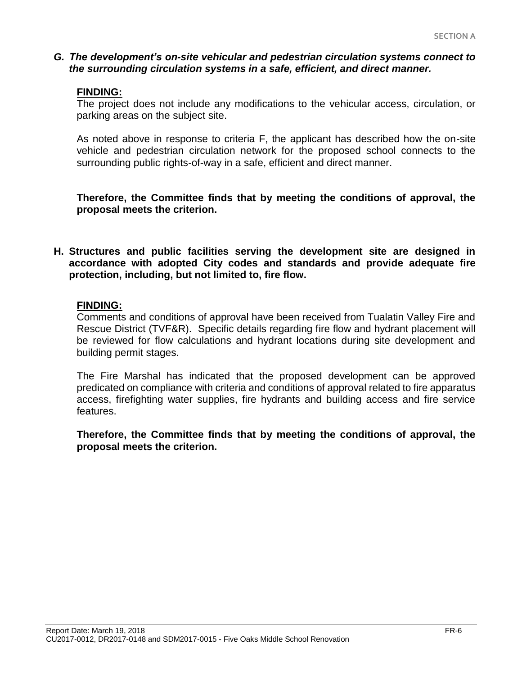## *G. The development's on-site vehicular and pedestrian circulation systems connect to the surrounding circulation systems in a safe, efficient, and direct manner.*

#### **FINDING:**

The project does not include any modifications to the vehicular access, circulation, or parking areas on the subject site.

As noted above in response to criteria F, the applicant has described how the on-site vehicle and pedestrian circulation network for the proposed school connects to the surrounding public rights-of-way in a safe, efficient and direct manner.

**Therefore, the Committee finds that by meeting the conditions of approval, the proposal meets the criterion.** 

**H. Structures and public facilities serving the development site are designed in accordance with adopted City codes and standards and provide adequate fire protection, including, but not limited to, fire flow.**

#### **FINDING:**

Comments and conditions of approval have been received from Tualatin Valley Fire and Rescue District (TVF&R). Specific details regarding fire flow and hydrant placement will be reviewed for flow calculations and hydrant locations during site development and building permit stages.

The Fire Marshal has indicated that the proposed development can be approved predicated on compliance with criteria and conditions of approval related to fire apparatus access, firefighting water supplies, fire hydrants and building access and fire service features.

**Therefore, the Committee finds that by meeting the conditions of approval, the proposal meets the criterion.**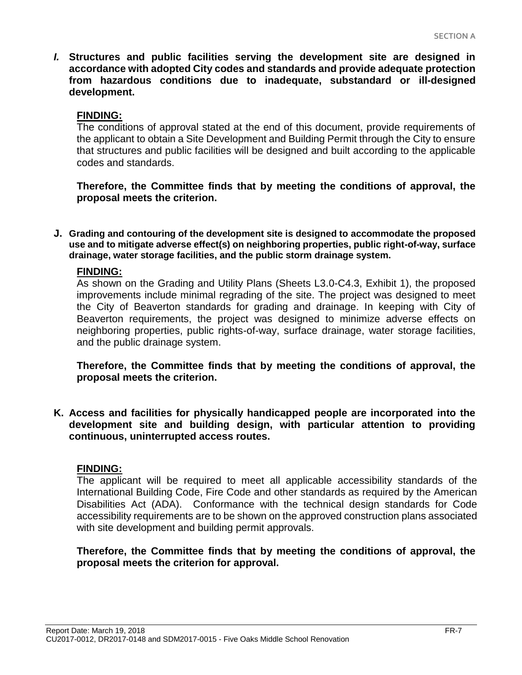*I.* **Structures and public facilities serving the development site are designed in accordance with adopted City codes and standards and provide adequate protection from hazardous conditions due to inadequate, substandard or ill-designed development.**

#### **FINDING:**

The conditions of approval stated at the end of this document, provide requirements of the applicant to obtain a Site Development and Building Permit through the City to ensure that structures and public facilities will be designed and built according to the applicable codes and standards.

**Therefore, the Committee finds that by meeting the conditions of approval, the proposal meets the criterion.** 

**J. Grading and contouring of the development site is designed to accommodate the proposed use and to mitigate adverse effect(s) on neighboring properties, public right-of-way, surface drainage, water storage facilities, and the public storm drainage system.**

#### **FINDING:**

As shown on the Grading and Utility Plans (Sheets L3.0-C4.3, Exhibit 1), the proposed improvements include minimal regrading of the site. The project was designed to meet the City of Beaverton standards for grading and drainage. In keeping with City of Beaverton requirements, the project was designed to minimize adverse effects on neighboring properties, public rights-of-way, surface drainage, water storage facilities, and the public drainage system.

**Therefore, the Committee finds that by meeting the conditions of approval, the proposal meets the criterion.** 

**K. Access and facilities for physically handicapped people are incorporated into the development site and building design, with particular attention to providing continuous, uninterrupted access routes.**

#### **FINDING:**

The applicant will be required to meet all applicable accessibility standards of the International Building Code, Fire Code and other standards as required by the American Disabilities Act (ADA). Conformance with the technical design standards for Code accessibility requirements are to be shown on the approved construction plans associated with site development and building permit approvals.

**Therefore, the Committee finds that by meeting the conditions of approval, the proposal meets the criterion for approval.**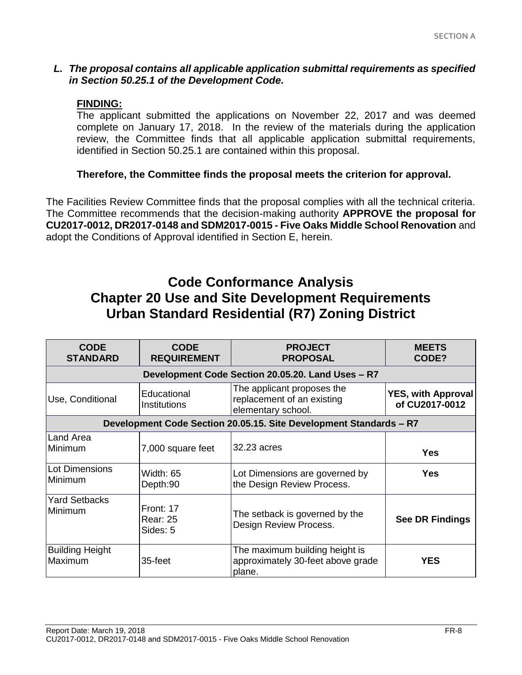#### *L. The proposal contains all applicable application submittal requirements as specified in Section 50.25.1 of the Development Code.*

#### **FINDING:**

The applicant submitted the applications on November 22, 2017 and was deemed complete on January 17, 2018. In the review of the materials during the application review, the Committee finds that all applicable application submittal requirements, identified in Section 50.25.1 are contained within this proposal.

## **Therefore, the Committee finds the proposal meets the criterion for approval.**

The Facilities Review Committee finds that the proposal complies with all the technical criteria. The Committee recommends that the decision-making authority **APPROVE the proposal for CU2017-0012, DR2017-0148 and SDM2017-0015 - Five Oaks Middle School Renovation** and adopt the Conditions of Approval identified in Section E, herein.

# **Code Conformance Analysis Chapter 20 Use and Site Development Requirements Urban Standard Residential (R7) Zoning District**

| <b>CODE</b><br><b>STANDARD</b>                                     | <b>CODE</b><br><b>REQUIREMENT</b>                 | <b>PROJECT</b><br><b>PROPOSAL</b>                                              | <b>MEETS</b><br>CODE?                       |  |
|--------------------------------------------------------------------|---------------------------------------------------|--------------------------------------------------------------------------------|---------------------------------------------|--|
|                                                                    | Development Code Section 20.05.20. Land Uses - R7 |                                                                                |                                             |  |
| Use, Conditional                                                   | Educational<br><b>Institutions</b>                | The applicant proposes the<br>replacement of an existing<br>elementary school. | <b>YES, with Approval</b><br>of CU2017-0012 |  |
| Development Code Section 20.05.15. Site Development Standards - R7 |                                                   |                                                                                |                                             |  |
| Land Area<br>Minimum                                               | 7,000 square feet                                 | 32.23 acres                                                                    | <b>Yes</b>                                  |  |
| <b>Lot Dimensions</b><br>Minimum                                   | Width: 65<br>Depth:90                             | Lot Dimensions are governed by<br>the Design Review Process.                   | <b>Yes</b>                                  |  |
| <b>Yard Setbacks</b><br>Minimum                                    | Front: 17<br><b>Rear: 25</b><br>Sides: 5          | The setback is governed by the<br>Design Review Process.                       | <b>See DR Findings</b>                      |  |
| <b>Building Height</b><br>Maximum                                  | 35-feet                                           | The maximum building height is<br>approximately 30-feet above grade<br>plane.  | <b>YES</b>                                  |  |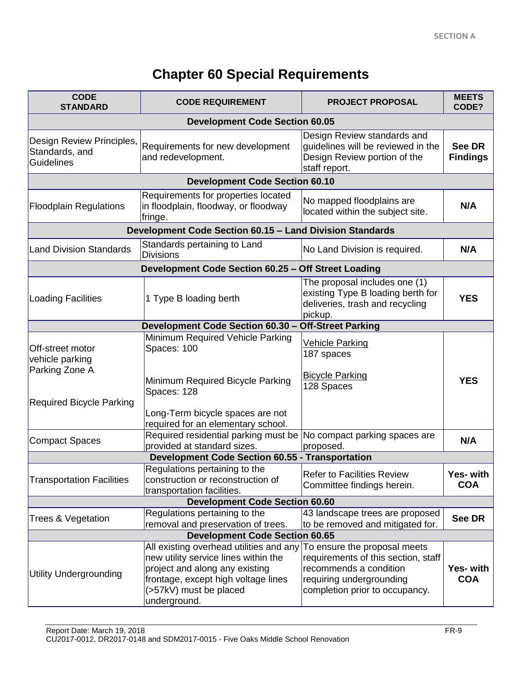# **Chapter 60 Special Requirements**

| <b>CODE</b><br><b>STANDARD</b>                                                           | <b>CODE REQUIREMENT</b>                                                                                                                                                                            | <b>PROJECT PROPOSAL</b>                                                                                                                                     | <b>MEETS</b><br>CODE?          |  |
|------------------------------------------------------------------------------------------|----------------------------------------------------------------------------------------------------------------------------------------------------------------------------------------------------|-------------------------------------------------------------------------------------------------------------------------------------------------------------|--------------------------------|--|
| <b>Development Code Section 60.05</b>                                                    |                                                                                                                                                                                                    |                                                                                                                                                             |                                |  |
| Design Review Principles,<br>Standards, and<br><b>Guidelines</b>                         | Requirements for new development<br>and redevelopment.                                                                                                                                             | Design Review standards and<br>guidelines will be reviewed in the<br>Design Review portion of the<br>staff report.                                          | See DR<br><b>Findings</b>      |  |
|                                                                                          | <b>Development Code Section 60.10</b>                                                                                                                                                              |                                                                                                                                                             |                                |  |
| <b>Floodplain Regulations</b>                                                            | Requirements for properties located<br>in floodplain, floodway, or floodway<br>fringe.                                                                                                             | No mapped floodplains are<br>located within the subject site.                                                                                               | N/A                            |  |
|                                                                                          | <b>Development Code Section 60.15 - Land Division Standards</b>                                                                                                                                    |                                                                                                                                                             |                                |  |
| <b>Land Division Standards</b>                                                           | Standards pertaining to Land<br><b>Divisions</b>                                                                                                                                                   | No Land Division is required.                                                                                                                               | N/A                            |  |
|                                                                                          | Development Code Section 60.25 - Off Street Loading                                                                                                                                                |                                                                                                                                                             |                                |  |
| <b>Loading Facilities</b>                                                                | 1 Type B loading berth                                                                                                                                                                             | The proposal includes one (1)<br>existing Type B loading berth for<br>deliveries, trash and recycling<br>pickup.                                            | <b>YES</b>                     |  |
|                                                                                          | Development Code Section 60.30 - Off-Street Parking                                                                                                                                                |                                                                                                                                                             |                                |  |
| Off-street motor<br>vehicle parking<br>Parking Zone A<br><b>Required Bicycle Parking</b> | Minimum Required Vehicle Parking<br>Spaces: 100<br>Minimum Required Bicycle Parking<br>Spaces: 128                                                                                                 | <u>Vehicle Parking</u><br>187 spaces<br><b>Bicycle Parking</b><br>128 Spaces                                                                                | <b>YES</b>                     |  |
|                                                                                          | Long-Term bicycle spaces are not<br>required for an elementary school.                                                                                                                             |                                                                                                                                                             |                                |  |
| <b>Compact Spaces</b>                                                                    | Required residential parking must be<br>provided at standard sizes.                                                                                                                                | No compact parking spaces are<br>proposed.                                                                                                                  | N/A                            |  |
|                                                                                          | <b>Development Code Section 60.55 - Transportation</b>                                                                                                                                             |                                                                                                                                                             |                                |  |
| <b>Transportation Facilities</b>                                                         | Regulations pertaining to the<br>construction or reconstruction of<br>transportation facilities.                                                                                                   | <b>Refer to Facilities Review</b><br>Committee findings herein.                                                                                             | Yes- with<br><b>COA</b>        |  |
| <b>Development Code Section 60.60</b>                                                    |                                                                                                                                                                                                    |                                                                                                                                                             |                                |  |
| Trees & Vegetation                                                                       | Regulations pertaining to the<br>removal and preservation of trees.                                                                                                                                | 43 landscape trees are proposed<br>to be removed and mitigated for.                                                                                         | <b>See DR</b>                  |  |
| <b>Development Code Section 60.65</b>                                                    |                                                                                                                                                                                                    |                                                                                                                                                             |                                |  |
| <b>Utility Undergrounding</b>                                                            | All existing overhead utilities and any<br>new utility service lines within the<br>project and along any existing<br>frontage, except high voltage lines<br>(>57kV) must be placed<br>underground. | To ensure the proposal meets<br>requirements of this section, staff<br>recommends a condition<br>requiring undergrounding<br>completion prior to occupancy. | <b>Yes- with</b><br><b>COA</b> |  |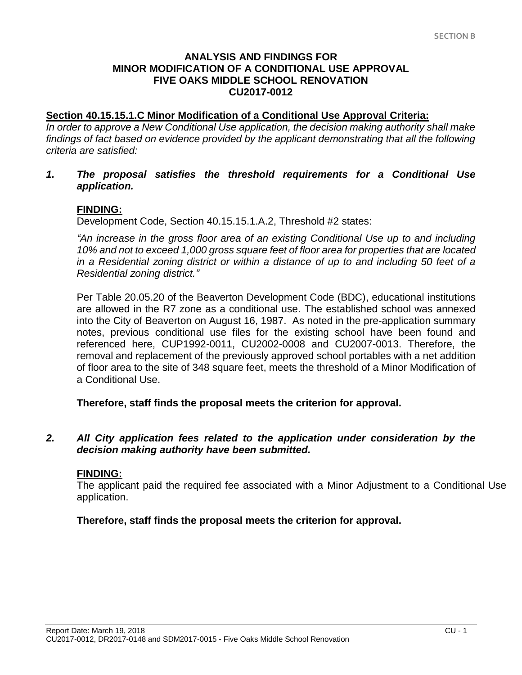## **ANALYSIS AND FINDINGS FOR MINOR MODIFICATION OF A CONDITIONAL USE APPROVAL FIVE OAKS MIDDLE SCHOOL RENOVATION CU2017-0012**

#### **Section 40.15.15.1.C Minor Modification of a Conditional Use Approval Criteria:**

*In order to approve a New Conditional Use application, the decision making authority shall make*  findings of fact based on evidence provided by the applicant demonstrating that all the following *criteria are satisfied:*

*1. The proposal satisfies the threshold requirements for a Conditional Use application.*

#### **FINDING:**

Development Code, Section 40.15.15.1.A.2, Threshold #2 states:

*"An increase in the gross floor area of an existing Conditional Use up to and including 10% and not to exceed 1,000 gross square feet of floor area for properties that are located in a Residential zoning district or within a distance of up to and including 50 feet of a Residential zoning district."*

Per Table 20.05.20 of the Beaverton Development Code (BDC), educational institutions are allowed in the R7 zone as a conditional use. The established school was annexed into the City of Beaverton on August 16, 1987. As noted in the pre-application summary notes, previous conditional use files for the existing school have been found and referenced here, CUP1992-0011, CU2002-0008 and CU2007-0013. Therefore, the removal and replacement of the previously approved school portables with a net addition of floor area to the site of 348 square feet, meets the threshold of a Minor Modification of a Conditional Use.

**Therefore, staff finds the proposal meets the criterion for approval.**

#### *2. All City application fees related to the application under consideration by the decision making authority have been submitted.*

#### **FINDING:**

The applicant paid the required fee associated with a Minor Adjustment to a Conditional Use application.

**Therefore, staff finds the proposal meets the criterion for approval.**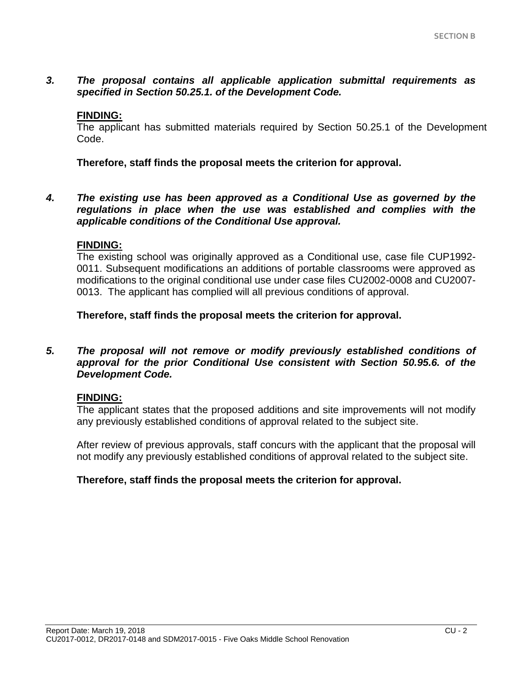## *3. The proposal contains all applicable application submittal requirements as specified in Section 50.25.1. of the Development Code.*

#### **FINDING:**

The applicant has submitted materials required by Section 50.25.1 of the Development Code.

**Therefore, staff finds the proposal meets the criterion for approval.**

*4. The existing use has been approved as a Conditional Use as governed by the regulations in place when the use was established and complies with the applicable conditions of the Conditional Use approval.*

#### **FINDING:**

The existing school was originally approved as a Conditional use, case file CUP1992- 0011. Subsequent modifications an additions of portable classrooms were approved as modifications to the original conditional use under case files CU2002-0008 and CU2007- 0013. The applicant has complied will all previous conditions of approval.

**Therefore, staff finds the proposal meets the criterion for approval.**

*5. The proposal will not remove or modify previously established conditions of approval for the prior Conditional Use consistent with Section 50.95.6. of the Development Code.*

## **FINDING:**

The applicant states that the proposed additions and site improvements will not modify any previously established conditions of approval related to the subject site.

After review of previous approvals, staff concurs with the applicant that the proposal will not modify any previously established conditions of approval related to the subject site.

## **Therefore, staff finds the proposal meets the criterion for approval.**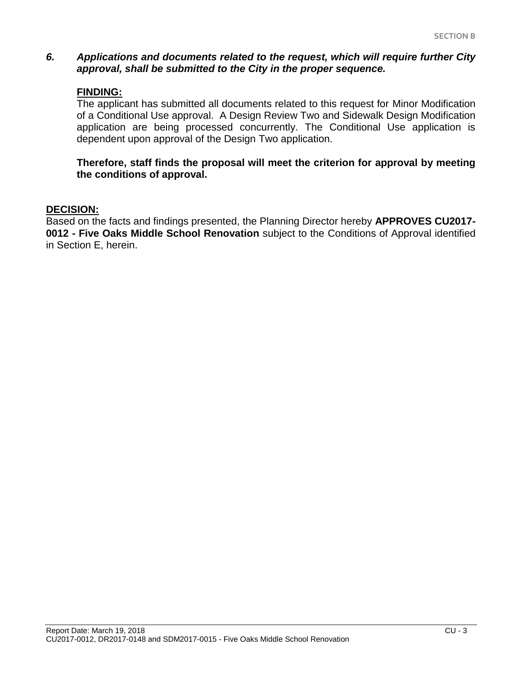#### *6. Applications and documents related to the request, which will require further City approval, shall be submitted to the City in the proper sequence.*

#### **FINDING:**

The applicant has submitted all documents related to this request for Minor Modification of a Conditional Use approval. A Design Review Two and Sidewalk Design Modification application are being processed concurrently. The Conditional Use application is dependent upon approval of the Design Two application.

#### **Therefore, staff finds the proposal will meet the criterion for approval by meeting the conditions of approval.**

#### **DECISION:**

Based on the facts and findings presented, the Planning Director hereby **APPROVES CU2017- 0012 - Five Oaks Middle School Renovation** subject to the Conditions of Approval identified in Section E, herein.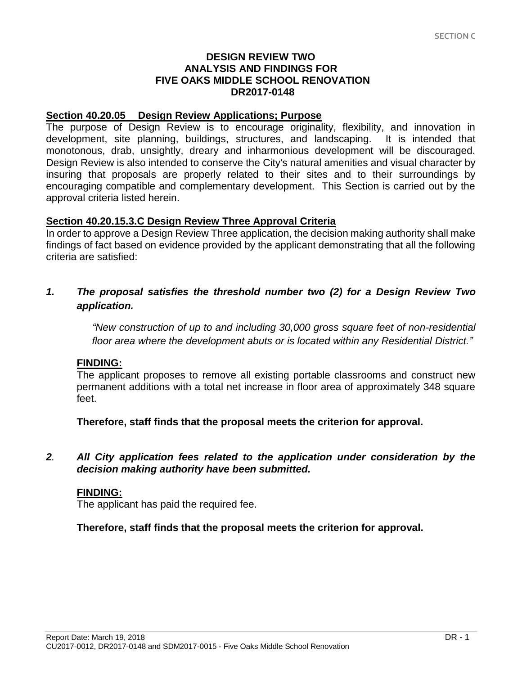## **DESIGN REVIEW TWO ANALYSIS AND FINDINGS FOR FIVE OAKS MIDDLE SCHOOL RENOVATION DR2017-0148**

## **Section 40.20.05 Design Review Applications; Purpose**

The purpose of Design Review is to encourage originality, flexibility, and innovation in development, site planning, buildings, structures, and landscaping. It is intended that monotonous, drab, unsightly, dreary and inharmonious development will be discouraged. Design Review is also intended to conserve the City's natural amenities and visual character by insuring that proposals are properly related to their sites and to their surroundings by encouraging compatible and complementary development. This Section is carried out by the approval criteria listed herein.

# **Section 40.20.15.3.C Design Review Three Approval Criteria**

In order to approve a Design Review Three application, the decision making authority shall make findings of fact based on evidence provided by the applicant demonstrating that all the following criteria are satisfied:

# *1. The proposal satisfies the threshold number two (2) for a Design Review Two application.*

*"New construction of up to and including 30,000 gross square feet of non-residential floor area where the development abuts or is located within any Residential District."*

## **FINDING:**

The applicant proposes to remove all existing portable classrooms and construct new permanent additions with a total net increase in floor area of approximately 348 square feet.

**Therefore, staff finds that the proposal meets the criterion for approval.**

## *2. All City application fees related to the application under consideration by the decision making authority have been submitted.*

## **FINDING:**

The applicant has paid the required fee.

**Therefore, staff finds that the proposal meets the criterion for approval.**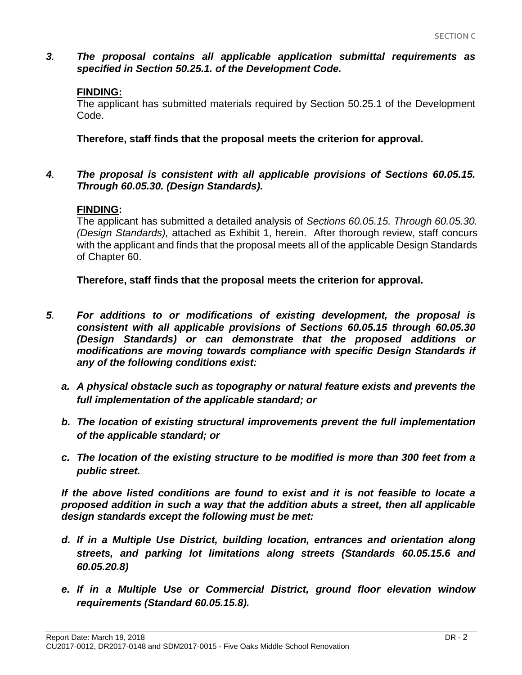*3. The proposal contains all applicable application submittal requirements as specified in Section 50.25.1. of the Development Code.*

# **FINDING:**

The applicant has submitted materials required by Section 50.25.1 of the Development Code.

**Therefore, staff finds that the proposal meets the criterion for approval.**

## *4. The proposal is consistent with all applicable provisions of Sections 60.05.15. Through 60.05.30. (Design Standards).*

# **FINDING:**

The applicant has submitted a detailed analysis of *Sections 60.05.15. Through 60.05.30. (Design Standards),* attached as Exhibit 1, herein.After thorough review, staff concurs with the applicant and finds that the proposal meets all of the applicable Design Standards of Chapter 60.

**Therefore, staff finds that the proposal meets the criterion for approval.**

- *5. For additions to or modifications of existing development, the proposal is consistent with all applicable provisions of Sections 60.05.15 through 60.05.30 (Design Standards) or can demonstrate that the proposed additions or modifications are moving towards compliance with specific Design Standards if any of the following conditions exist:*
	- *a. A physical obstacle such as topography or natural feature exists and prevents the full implementation of the applicable standard; or*
	- *b. The location of existing structural improvements prevent the full implementation of the applicable standard; or*
	- *c. The location of the existing structure to be modified is more than 300 feet from a public street.*

*If the above listed conditions are found to exist and it is not feasible to locate a proposed addition in such a way that the addition abuts a street, then all applicable design standards except the following must be met:*

- *d. If in a Multiple Use District, building location, entrances and orientation along streets, and parking lot limitations along streets (Standards 60.05.15.6 and 60.05.20.8)*
- *e. If in a Multiple Use or Commercial District, ground floor elevation window requirements (Standard 60.05.15.8).*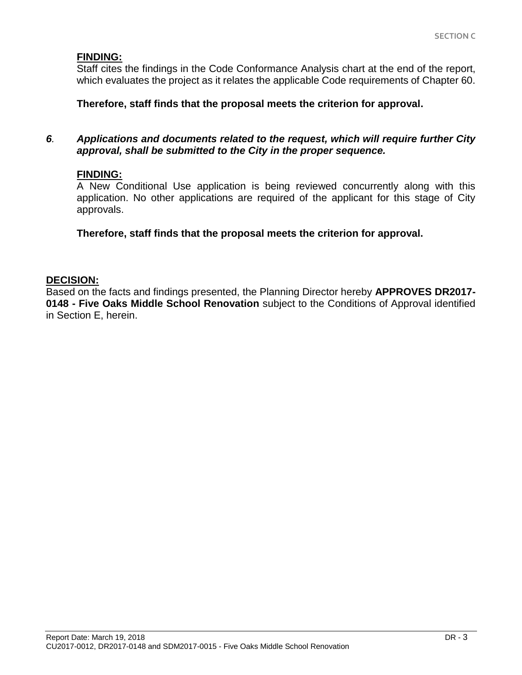## **FINDING:**

Staff cites the findings in the Code Conformance Analysis chart at the end of the report, which evaluates the project as it relates the applicable Code requirements of Chapter 60.

#### **Therefore, staff finds that the proposal meets the criterion for approval.**

#### *6. Applications and documents related to the request, which will require further City approval, shall be submitted to the City in the proper sequence.*

## **FINDING:**

A New Conditional Use application is being reviewed concurrently along with this application. No other applications are required of the applicant for this stage of City approvals.

**Therefore, staff finds that the proposal meets the criterion for approval.**

## **DECISION:**

Based on the facts and findings presented, the Planning Director hereby **APPROVES DR2017- 0148 - Five Oaks Middle School Renovation** subject to the Conditions of Approval identified in Section E, herein.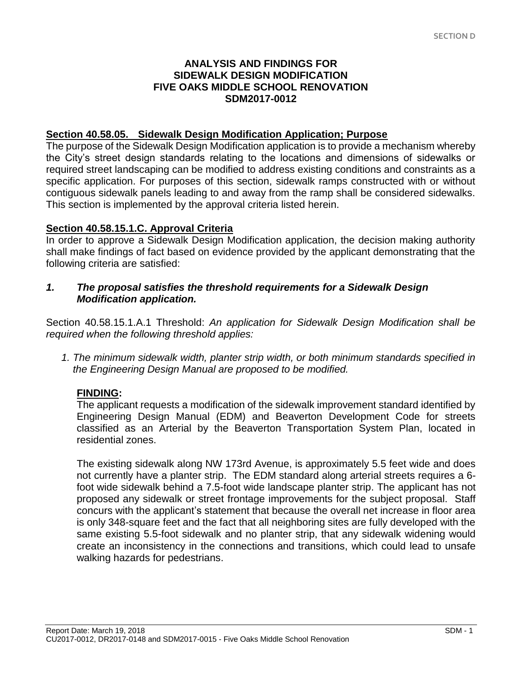## **ANALYSIS AND FINDINGS FOR SIDEWALK DESIGN MODIFICATION FIVE OAKS MIDDLE SCHOOL RENOVATION SDM2017-0012**

#### **Section 40.58.05. Sidewalk Design Modification Application; Purpose**

The purpose of the Sidewalk Design Modification application is to provide a mechanism whereby the City's street design standards relating to the locations and dimensions of sidewalks or required street landscaping can be modified to address existing conditions and constraints as a specific application. For purposes of this section, sidewalk ramps constructed with or without contiguous sidewalk panels leading to and away from the ramp shall be considered sidewalks. This section is implemented by the approval criteria listed herein.

## **Section 40.58.15.1.C. Approval Criteria**

In order to approve a Sidewalk Design Modification application, the decision making authority shall make findings of fact based on evidence provided by the applicant demonstrating that the following criteria are satisfied:

#### *1. The proposal satisfies the threshold requirements for a Sidewalk Design Modification application.*

Section 40.58.15.1.A.1 Threshold: *An application for Sidewalk Design Modification shall be required when the following threshold applies:*

*1. The minimum sidewalk width, planter strip width, or both minimum standards specified in the Engineering Design Manual are proposed to be modified.*

## **FINDING:**

The applicant requests a modification of the sidewalk improvement standard identified by Engineering Design Manual (EDM) and Beaverton Development Code for streets classified as an Arterial by the Beaverton Transportation System Plan, located in residential zones.

The existing sidewalk along NW 173rd Avenue, is approximately 5.5 feet wide and does not currently have a planter strip. The EDM standard along arterial streets requires a 6 foot wide sidewalk behind a 7.5-foot wide landscape planter strip. The applicant has not proposed any sidewalk or street frontage improvements for the subject proposal. Staff concurs with the applicant's statement that because the overall net increase in floor area is only 348-square feet and the fact that all neighboring sites are fully developed with the same existing 5.5-foot sidewalk and no planter strip, that any sidewalk widening would create an inconsistency in the connections and transitions, which could lead to unsafe walking hazards for pedestrians.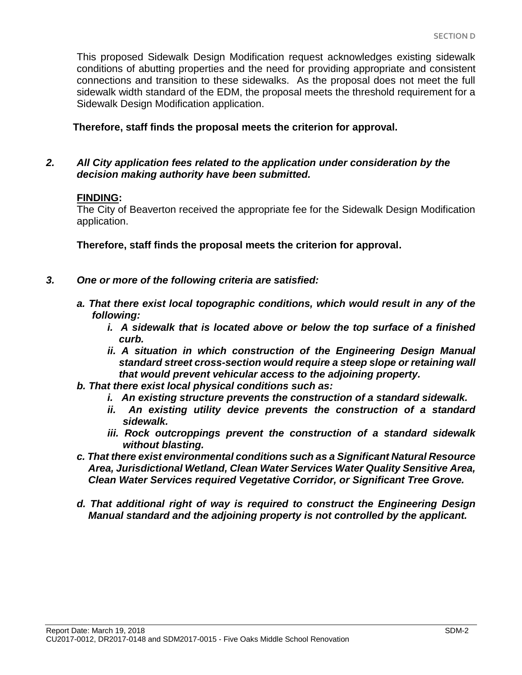This proposed Sidewalk Design Modification request acknowledges existing sidewalk conditions of abutting properties and the need for providing appropriate and consistent connections and transition to these sidewalks. As the proposal does not meet the full sidewalk width standard of the EDM, the proposal meets the threshold requirement for a Sidewalk Design Modification application.

**Therefore, staff finds the proposal meets the criterion for approval.**

## *2. All City application fees related to the application under consideration by the decision making authority have been submitted.*

#### **FINDING:**

The City of Beaverton received the appropriate fee for the Sidewalk Design Modification application.

**Therefore, staff finds the proposal meets the criterion for approval.**

- *3. One or more of the following criteria are satisfied:*
	- *a. That there exist local topographic conditions, which would result in any of the following:*
		- *i. A sidewalk that is located above or below the top surface of a finished curb.*
		- *ii. A situation in which construction of the Engineering Design Manual standard street cross-section would require a steep slope or retaining wall that would prevent vehicular access to the adjoining property.*
	- *b. That there exist local physical conditions such as:*
		- *i. An existing structure prevents the construction of a standard sidewalk.*
		- *ii. An existing utility device prevents the construction of a standard sidewalk.*
		- *iii. Rock outcroppings prevent the construction of a standard sidewalk without blasting.*
	- *c. That there exist environmental conditions such as a Significant Natural Resource Area, Jurisdictional Wetland, Clean Water Services Water Quality Sensitive Area, Clean Water Services required Vegetative Corridor, or Significant Tree Grove.*
	- *d. That additional right of way is required to construct the Engineering Design Manual standard and the adjoining property is not controlled by the applicant.*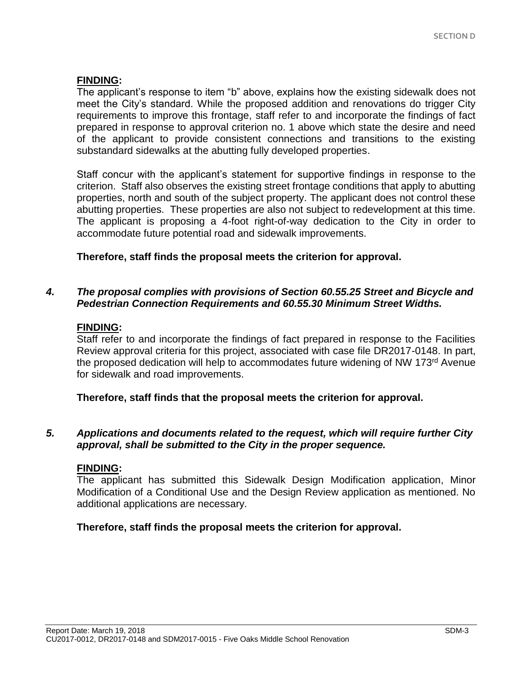## **FINDING:**

The applicant's response to item "b" above, explains how the existing sidewalk does not meet the City's standard. While the proposed addition and renovations do trigger City requirements to improve this frontage, staff refer to and incorporate the findings of fact prepared in response to approval criterion no. 1 above which state the desire and need of the applicant to provide consistent connections and transitions to the existing substandard sidewalks at the abutting fully developed properties.

Staff concur with the applicant's statement for supportive findings in response to the criterion. Staff also observes the existing street frontage conditions that apply to abutting properties, north and south of the subject property. The applicant does not control these abutting properties. These properties are also not subject to redevelopment at this time. The applicant is proposing a 4-foot right-of-way dedication to the City in order to accommodate future potential road and sidewalk improvements.

## **Therefore, staff finds the proposal meets the criterion for approval.**

## *4. The proposal complies with provisions of Section 60.55.25 Street and Bicycle and Pedestrian Connection Requirements and 60.55.30 Minimum Street Widths.*

#### **FINDING:**

Staff refer to and incorporate the findings of fact prepared in response to the Facilities Review approval criteria for this project, associated with case file DR2017-0148. In part, the proposed dedication will help to accommodates future widening of NW 173rd Avenue for sidewalk and road improvements.

**Therefore, staff finds that the proposal meets the criterion for approval.**

#### *5. Applications and documents related to the request, which will require further City approval, shall be submitted to the City in the proper sequence.*

#### **FINDING:**

The applicant has submitted this Sidewalk Design Modification application, Minor Modification of a Conditional Use and the Design Review application as mentioned. No additional applications are necessary.

#### **Therefore, staff finds the proposal meets the criterion for approval.**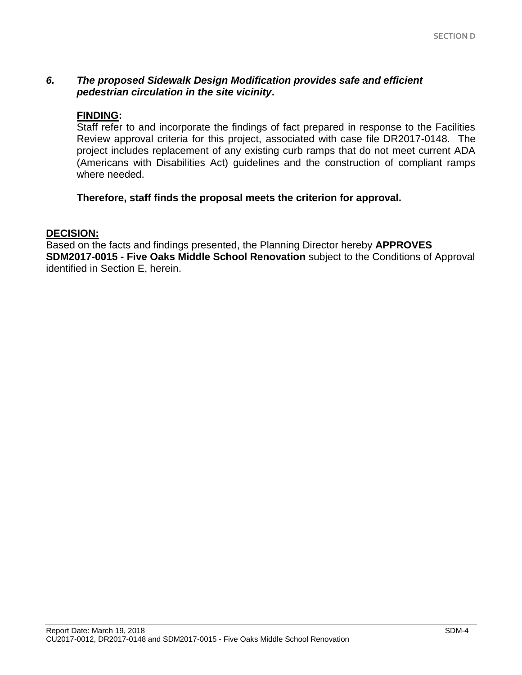# *6. The proposed Sidewalk Design Modification provides safe and efficient pedestrian circulation in the site vicinity***.**

#### **FINDING:**

Staff refer to and incorporate the findings of fact prepared in response to the Facilities Review approval criteria for this project, associated with case file DR2017-0148. The project includes replacement of any existing curb ramps that do not meet current ADA (Americans with Disabilities Act) guidelines and the construction of compliant ramps where needed.

#### **Therefore, staff finds the proposal meets the criterion for approval.**

#### **DECISION:**

Based on the facts and findings presented, the Planning Director hereby **APPROVES SDM2017-0015 - Five Oaks Middle School Renovation** subject to the Conditions of Approval identified in Section E, herein.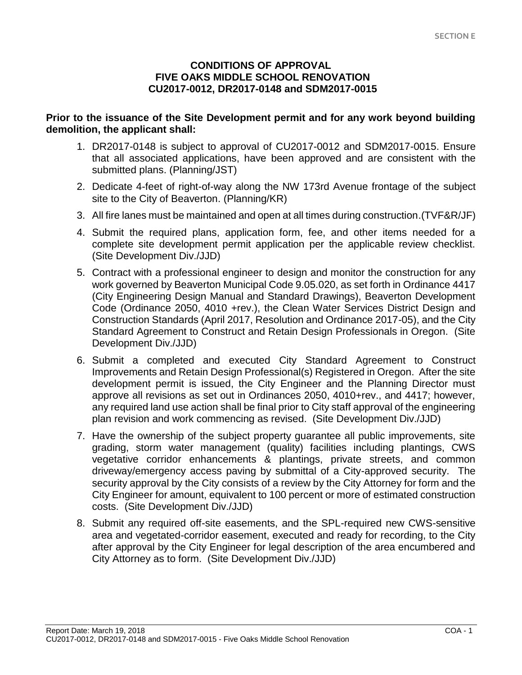## **CONDITIONS OF APPROVAL FIVE OAKS MIDDLE SCHOOL RENOVATION CU2017-0012, DR2017-0148 and SDM2017-0015**

#### **Prior to the issuance of the Site Development permit and for any work beyond building demolition, the applicant shall:**

- 1. DR2017-0148 is subject to approval of CU2017-0012 and SDM2017-0015. Ensure that all associated applications, have been approved and are consistent with the submitted plans. (Planning/JST)
- 2. Dedicate 4-feet of right-of-way along the NW 173rd Avenue frontage of the subject site to the City of Beaverton. (Planning/KR)
- 3. All fire lanes must be maintained and open at all times during construction.(TVF&R/JF)
- 4. Submit the required plans, application form, fee, and other items needed for a complete site development permit application per the applicable review checklist. (Site Development Div./JJD)
- 5. Contract with a professional engineer to design and monitor the construction for any work governed by Beaverton Municipal Code 9.05.020, as set forth in Ordinance 4417 (City Engineering Design Manual and Standard Drawings), Beaverton Development Code (Ordinance 2050, 4010 +rev.), the Clean Water Services District Design and Construction Standards (April 2017, Resolution and Ordinance 2017-05), and the City Standard Agreement to Construct and Retain Design Professionals in Oregon. (Site Development Div./JJD)
- 6. Submit a completed and executed City Standard Agreement to Construct Improvements and Retain Design Professional(s) Registered in Oregon. After the site development permit is issued, the City Engineer and the Planning Director must approve all revisions as set out in Ordinances 2050, 4010+rev., and 4417; however, any required land use action shall be final prior to City staff approval of the engineering plan revision and work commencing as revised. (Site Development Div./JJD)
- 7. Have the ownership of the subject property guarantee all public improvements, site grading, storm water management (quality) facilities including plantings, CWS vegetative corridor enhancements & plantings, private streets, and common driveway/emergency access paving by submittal of a City-approved security. The security approval by the City consists of a review by the City Attorney for form and the City Engineer for amount, equivalent to 100 percent or more of estimated construction costs. (Site Development Div./JJD)
- 8. Submit any required off-site easements, and the SPL-required new CWS-sensitive area and vegetated-corridor easement, executed and ready for recording, to the City after approval by the City Engineer for legal description of the area encumbered and City Attorney as to form. (Site Development Div./JJD)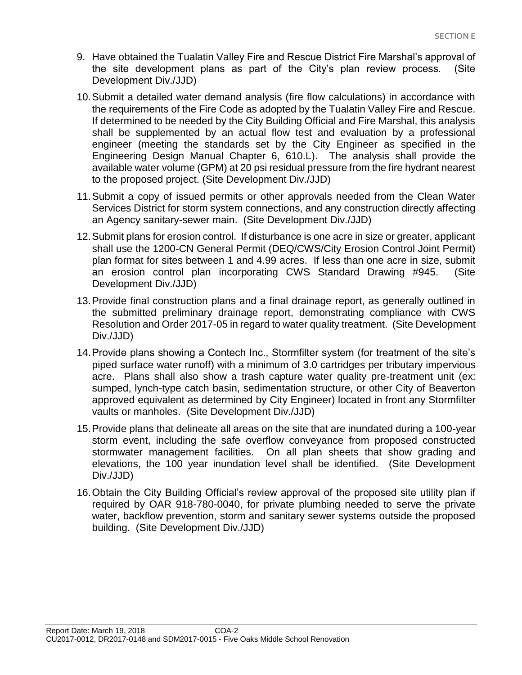- 9. Have obtained the Tualatin Valley Fire and Rescue District Fire Marshal's approval of the site development plans as part of the City's plan review process. (Site Development Div./JJD)
- 10.Submit a detailed water demand analysis (fire flow calculations) in accordance with the requirements of the Fire Code as adopted by the Tualatin Valley Fire and Rescue. If determined to be needed by the City Building Official and Fire Marshal, this analysis shall be supplemented by an actual flow test and evaluation by a professional engineer (meeting the standards set by the City Engineer as specified in the Engineering Design Manual Chapter 6, 610.L). The analysis shall provide the available water volume (GPM) at 20 psi residual pressure from the fire hydrant nearest to the proposed project. (Site Development Div./JJD)
- 11.Submit a copy of issued permits or other approvals needed from the Clean Water Services District for storm system connections, and any construction directly affecting an Agency sanitary-sewer main. (Site Development Div./JJD)
- 12.Submit plans for erosion control. If disturbance is one acre in size or greater, applicant shall use the 1200-CN General Permit (DEQ/CWS/City Erosion Control Joint Permit) plan format for sites between 1 and 4.99 acres. If less than one acre in size, submit an erosion control plan incorporating CWS Standard Drawing #945. (Site Development Div./JJD)
- 13.Provide final construction plans and a final drainage report, as generally outlined in the submitted preliminary drainage report, demonstrating compliance with CWS Resolution and Order 2017-05 in regard to water quality treatment. (Site Development Div./JJD)
- 14.Provide plans showing a Contech Inc., Stormfilter system (for treatment of the site's piped surface water runoff) with a minimum of 3.0 cartridges per tributary impervious acre. Plans shall also show a trash capture water quality pre-treatment unit (ex: sumped, lynch-type catch basin, sedimentation structure, or other City of Beaverton approved equivalent as determined by City Engineer) located in front any Stormfilter vaults or manholes. (Site Development Div./JJD)
- 15.Provide plans that delineate all areas on the site that are inundated during a 100-year storm event, including the safe overflow conveyance from proposed constructed stormwater management facilities. On all plan sheets that show grading and elevations, the 100 year inundation level shall be identified. (Site Development Div./JJD)
- 16.Obtain the City Building Official's review approval of the proposed site utility plan if required by OAR 918-780-0040, for private plumbing needed to serve the private water, backflow prevention, storm and sanitary sewer systems outside the proposed building. (Site Development Div./JJD)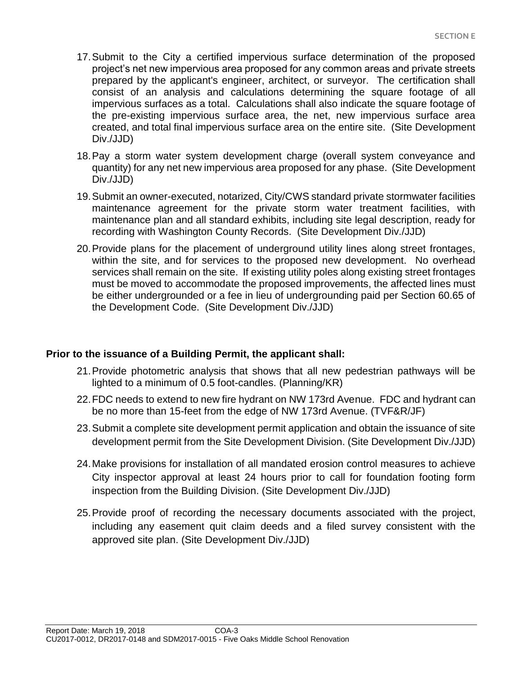- 17.Submit to the City a certified impervious surface determination of the proposed project's net new impervious area proposed for any common areas and private streets prepared by the applicant's engineer, architect, or surveyor. The certification shall consist of an analysis and calculations determining the square footage of all impervious surfaces as a total. Calculations shall also indicate the square footage of the pre-existing impervious surface area, the net, new impervious surface area created, and total final impervious surface area on the entire site. (Site Development Div./JJD)
- 18.Pay a storm water system development charge (overall system conveyance and quantity) for any net new impervious area proposed for any phase. (Site Development Div./JJD)
- 19.Submit an owner-executed, notarized, City/CWS standard private stormwater facilities maintenance agreement for the private storm water treatment facilities, with maintenance plan and all standard exhibits, including site legal description, ready for recording with Washington County Records. (Site Development Div./JJD)
- 20.Provide plans for the placement of underground utility lines along street frontages, within the site, and for services to the proposed new development. No overhead services shall remain on the site. If existing utility poles along existing street frontages must be moved to accommodate the proposed improvements, the affected lines must be either undergrounded or a fee in lieu of undergrounding paid per Section 60.65 of the Development Code. (Site Development Div./JJD)

## **Prior to the issuance of a Building Permit, the applicant shall:**

- 21.Provide photometric analysis that shows that all new pedestrian pathways will be lighted to a minimum of 0.5 foot-candles. (Planning/KR)
- 22.FDC needs to extend to new fire hydrant on NW 173rd Avenue. FDC and hydrant can be no more than 15-feet from the edge of NW 173rd Avenue. (TVF&R/JF)
- 23.Submit a complete site development permit application and obtain the issuance of site development permit from the Site Development Division. (Site Development Div./JJD)
- 24.Make provisions for installation of all mandated erosion control measures to achieve City inspector approval at least 24 hours prior to call for foundation footing form inspection from the Building Division. (Site Development Div./JJD)
- 25.Provide proof of recording the necessary documents associated with the project, including any easement quit claim deeds and a filed survey consistent with the approved site plan. (Site Development Div./JJD)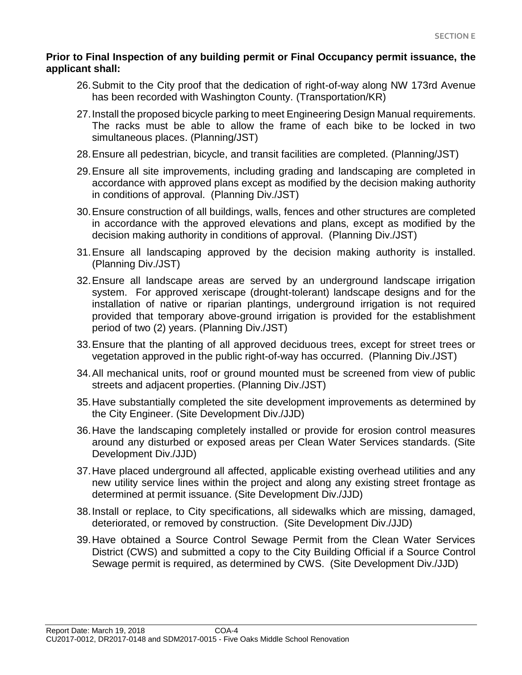## **Prior to Final Inspection of any building permit or Final Occupancy permit issuance, the applicant shall:**

- 26.Submit to the City proof that the dedication of right-of-way along NW 173rd Avenue has been recorded with Washington County. (Transportation/KR)
- 27.Install the proposed bicycle parking to meet Engineering Design Manual requirements. The racks must be able to allow the frame of each bike to be locked in two simultaneous places. (Planning/JST)
- 28.Ensure all pedestrian, bicycle, and transit facilities are completed. (Planning/JST)
- 29.Ensure all site improvements, including grading and landscaping are completed in accordance with approved plans except as modified by the decision making authority in conditions of approval. (Planning Div./JST)
- 30.Ensure construction of all buildings, walls, fences and other structures are completed in accordance with the approved elevations and plans, except as modified by the decision making authority in conditions of approval. (Planning Div./JST)
- 31.Ensure all landscaping approved by the decision making authority is installed. (Planning Div./JST)
- 32.Ensure all landscape areas are served by an underground landscape irrigation system. For approved xeriscape (drought-tolerant) landscape designs and for the installation of native or riparian plantings, underground irrigation is not required provided that temporary above-ground irrigation is provided for the establishment period of two (2) years. (Planning Div./JST)
- 33.Ensure that the planting of all approved deciduous trees, except for street trees or vegetation approved in the public right-of-way has occurred. (Planning Div./JST)
- 34.All mechanical units, roof or ground mounted must be screened from view of public streets and adjacent properties. (Planning Div./JST)
- 35.Have substantially completed the site development improvements as determined by the City Engineer. (Site Development Div./JJD)
- 36.Have the landscaping completely installed or provide for erosion control measures around any disturbed or exposed areas per Clean Water Services standards. (Site Development Div./JJD)
- 37.Have placed underground all affected, applicable existing overhead utilities and any new utility service lines within the project and along any existing street frontage as determined at permit issuance. (Site Development Div./JJD)
- 38.Install or replace, to City specifications, all sidewalks which are missing, damaged, deteriorated, or removed by construction. (Site Development Div./JJD)
- 39.Have obtained a Source Control Sewage Permit from the Clean Water Services District (CWS) and submitted a copy to the City Building Official if a Source Control Sewage permit is required, as determined by CWS. (Site Development Div./JJD)